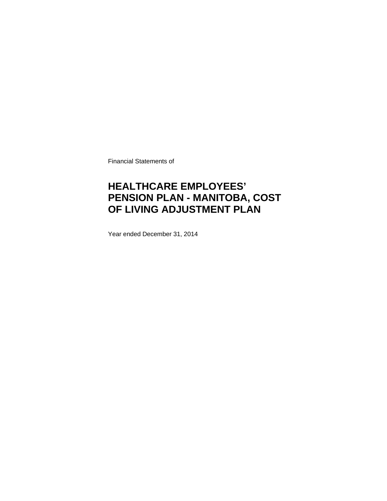Financial Statements of

## **HEALTHCARE EMPLOYEES' PENSION PLAN - MANITOBA, COST OF LIVING ADJUSTMENT PLAN**

Year ended December 31, 2014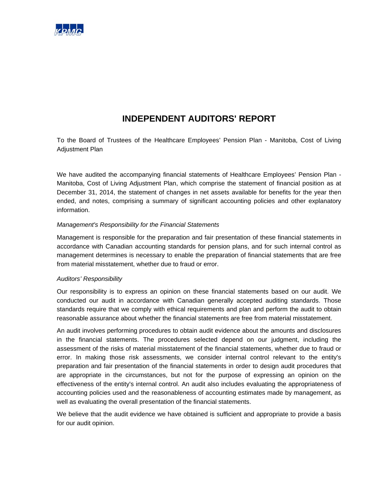

### **INDEPENDENT AUDITORS' REPORT**

To the Board of Trustees of the Healthcare Employees' Pension Plan - Manitoba, Cost of Living Adjustment Plan

We have audited the accompanying financial statements of Healthcare Employees' Pension Plan - Manitoba, Cost of Living Adjustment Plan, which comprise the statement of financial position as at December 31, 2014, the statement of changes in net assets available for benefits for the year then ended, and notes, comprising a summary of significant accounting policies and other explanatory information.

#### *Management's Responsibility for the Financial Statements*

Management is responsible for the preparation and fair presentation of these financial statements in accordance with Canadian accounting standards for pension plans, and for such internal control as management determines is necessary to enable the preparation of financial statements that are free from material misstatement, whether due to fraud or error.

#### *Auditors' Responsibility*

Our responsibility is to express an opinion on these financial statements based on our audit. We conducted our audit in accordance with Canadian generally accepted auditing standards. Those standards require that we comply with ethical requirements and plan and perform the audit to obtain reasonable assurance about whether the financial statements are free from material misstatement.

An audit involves performing procedures to obtain audit evidence about the amounts and disclosures in the financial statements. The procedures selected depend on our judgment, including the assessment of the risks of material misstatement of the financial statements, whether due to fraud or error. In making those risk assessments, we consider internal control relevant to the entity's preparation and fair presentation of the financial statements in order to design audit procedures that are appropriate in the circumstances, but not for the purpose of expressing an opinion on the effectiveness of the entity's internal control. An audit also includes evaluating the appropriateness of accounting policies used and the reasonableness of accounting estimates made by management, as well as evaluating the overall presentation of the financial statements.

We believe that the audit evidence we have obtained is sufficient and appropriate to provide a basis for our audit opinion.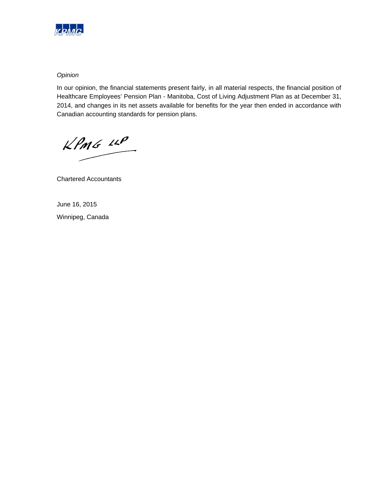

#### *Opinion*

In our opinion, the financial statements present fairly, in all material respects, the financial position of Healthcare Employees' Pension Plan - Manitoba, Cost of Living Adjustment Plan as at December 31, 2014, and changes in its net assets available for benefits for the year then ended in accordance with Canadian accounting standards for pension plans.

 $KPMG$   $10$ 

Chartered Accountants

June 16, 2015 Winnipeg, Canada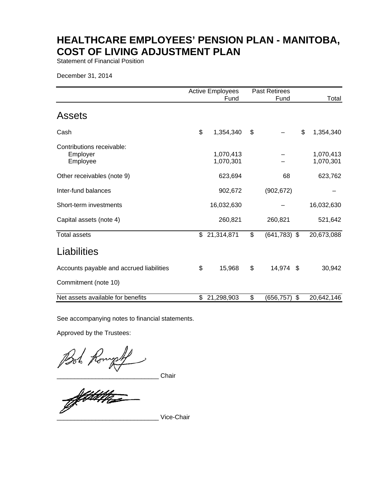Statement of Financial Position

December 31, 2014

|                                                   | <b>Active Employees</b> |                        | <b>Past Retirees</b>  |    |                        |
|---------------------------------------------------|-------------------------|------------------------|-----------------------|----|------------------------|
|                                                   |                         | Fund                   | Fund                  |    | Total                  |
| <b>Assets</b>                                     |                         |                        |                       |    |                        |
| Cash                                              | \$                      | 1,354,340              | \$                    | \$ | 1,354,340              |
| Contributions receivable:<br>Employer<br>Employee |                         | 1,070,413<br>1,070,301 |                       |    | 1,070,413<br>1,070,301 |
| Other receivables (note 9)                        |                         | 623,694                | 68                    |    | 623,762                |
| Inter-fund balances                               |                         | 902,672                | (902, 672)            |    |                        |
| Short-term investments                            |                         | 16,032,630             |                       |    | 16,032,630             |
| Capital assets (note 4)                           |                         | 260,821                | 260,821               |    | 521,642                |
| <b>Total assets</b>                               | \$                      | 21,314,871             | \$<br>$(641, 783)$ \$ |    | 20,673,088             |
| Liabilities                                       |                         |                        |                       |    |                        |
| Accounts payable and accrued liabilities          | \$                      | 15,968                 | \$<br>14,974 \$       |    | 30,942                 |
| Commitment (note 10)                              |                         |                        |                       |    |                        |
| Net assets available for benefits                 | \$                      | 21,298,903             | \$<br>(656, 757)      | \$ | 20,642,146             |

See accompanying notes to financial statements.

Approved by the Trustees:

Bob Rompoff

\_\_\_\_\_\_\_\_\_\_\_\_\_\_\_\_\_\_\_\_\_\_\_\_\_\_\_\_\_ Vice-Chair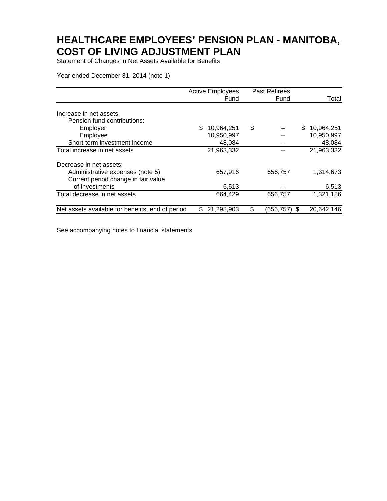Statement of Changes in Net Assets Available for Benefits

#### Year ended December 31, 2014 (note 1)

|                                                  | <b>Active Employees</b><br>Fund | <b>Past Retirees</b><br>Fund | Total            |
|--------------------------------------------------|---------------------------------|------------------------------|------------------|
| Increase in net assets:                          |                                 |                              |                  |
| Pension fund contributions:                      |                                 |                              |                  |
| Employer                                         | 10,964,251<br>S                 | \$                           | \$<br>10,964,251 |
| Employee                                         | 10,950,997                      |                              | 10,950,997       |
| Short-term investment income                     | 48,084                          |                              | 48,084           |
| Total increase in net assets                     | 21,963,332                      |                              | 21,963,332       |
| Decrease in net assets:                          |                                 |                              |                  |
| Administrative expenses (note 5)                 | 657,916                         | 656,757                      | 1,314,673        |
| Current period change in fair value              |                                 |                              |                  |
| of investments                                   | 6,513                           |                              | 6,513            |
| Total decrease in net assets                     | 664,429                         | 656,757                      | 1,321,186        |
| Net assets available for benefits, end of period | 21,298,903                      | £.<br>(656,757)              | 20,642,146       |

See accompanying notes to financial statements.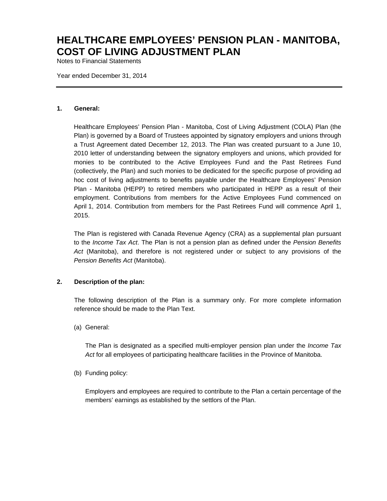Notes to Financial Statements

Year ended December 31, 2014

#### **1. General:**

Healthcare Employees' Pension Plan - Manitoba, Cost of Living Adjustment (COLA) Plan (the Plan) is governed by a Board of Trustees appointed by signatory employers and unions through a Trust Agreement dated December 12, 2013. The Plan was created pursuant to a June 10, 2010 letter of understanding between the signatory employers and unions, which provided for monies to be contributed to the Active Employees Fund and the Past Retirees Fund (collectively, the Plan) and such monies to be dedicated for the specific purpose of providing ad hoc cost of living adjustments to benefits payable under the Healthcare Employees' Pension Plan - Manitoba (HEPP) to retired members who participated in HEPP as a result of their employment. Contributions from members for the Active Employees Fund commenced on April 1, 2014. Contribution from members for the Past Retirees Fund will commence April 1, 2015.

The Plan is registered with Canada Revenue Agency (CRA) as a supplemental plan pursuant to the *Income Tax Act*. The Plan is not a pension plan as defined under the *Pension Benefits Act* (Manitoba), and therefore is not registered under or subject to any provisions of the *Pension Benefits Act* (Manitoba).

#### **2. Description of the plan:**

The following description of the Plan is a summary only. For more complete information reference should be made to the Plan Text.

(a) General:

The Plan is designated as a specified multi-employer pension plan under the *Income Tax*  Act for all employees of participating healthcare facilities in the Province of Manitoba.

(b) Funding policy:

Employers and employees are required to contribute to the Plan a certain percentage of the members' earnings as established by the settlors of the Plan.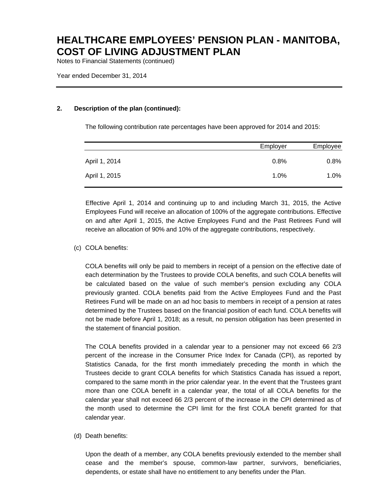Notes to Financial Statements (continued)

#### **2. Description of the plan (continued):**

The following contribution rate percentages have been approved for 2014 and 2015:

|               | Employer | Employee |
|---------------|----------|----------|
| April 1, 2014 | 0.8%     | 0.8%     |
| April 1, 2015 | 1.0%     | $1.0\%$  |

Effective April 1, 2014 and continuing up to and including March 31, 2015, the Active Employees Fund will receive an allocation of 100% of the aggregate contributions. Effective on and after April 1, 2015, the Active Employees Fund and the Past Retirees Fund will receive an allocation of 90% and 10% of the aggregate contributions, respectively.

(c) COLA benefits:

COLA benefits will only be paid to members in receipt of a pension on the effective date of each determination by the Trustees to provide COLA benefits, and such COLA benefits will be calculated based on the value of such member's pension excluding any COLA previously granted. COLA benefits paid from the Active Employees Fund and the Past Retirees Fund will be made on an ad hoc basis to members in receipt of a pension at rates determined by the Trustees based on the financial position of each fund. COLA benefits will not be made before April 1, 2018; as a result, no pension obligation has been presented in the statement of financial position.

The COLA benefits provided in a calendar year to a pensioner may not exceed 66 2/3 percent of the increase in the Consumer Price Index for Canada (CPI), as reported by Statistics Canada, for the first month immediately preceding the month in which the Trustees decide to grant COLA benefits for which Statistics Canada has issued a report, compared to the same month in the prior calendar year. In the event that the Trustees grant more than one COLA benefit in a calendar year, the total of all COLA benefits for the calendar year shall not exceed 66 2/3 percent of the increase in the CPI determined as of the month used to determine the CPI limit for the first COLA benefit granted for that calendar year.

(d) Death benefits:

Upon the death of a member, any COLA benefits previously extended to the member shall cease and the member's spouse, common-law partner, survivors, beneficiaries, dependents, or estate shall have no entitlement to any benefits under the Plan.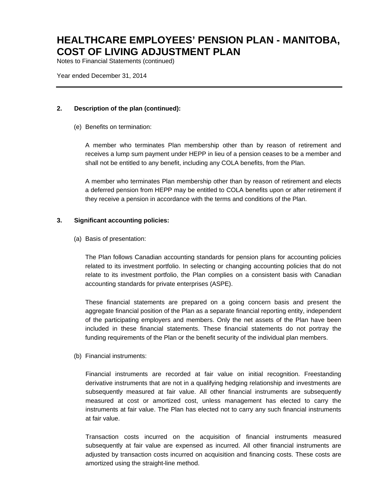Notes to Financial Statements (continued)

Year ended December 31, 2014

#### **2. Description of the plan (continued):**

(e) Benefits on termination:

A member who terminates Plan membership other than by reason of retirement and receives a lump sum payment under HEPP in lieu of a pension ceases to be a member and shall not be entitled to any benefit, including any COLA benefits, from the Plan.

A member who terminates Plan membership other than by reason of retirement and elects a deferred pension from HEPP may be entitled to COLA benefits upon or after retirement if they receive a pension in accordance with the terms and conditions of the Plan.

#### **3. Significant accounting policies:**

(a) Basis of presentation:

The Plan follows Canadian accounting standards for pension plans for accounting policies related to its investment portfolio. In selecting or changing accounting policies that do not relate to its investment portfolio, the Plan complies on a consistent basis with Canadian accounting standards for private enterprises (ASPE).

These financial statements are prepared on a going concern basis and present the aggregate financial position of the Plan as a separate financial reporting entity, independent of the participating employers and members. Only the net assets of the Plan have been included in these financial statements. These financial statements do not portray the funding requirements of the Plan or the benefit security of the individual plan members.

(b) Financial instruments:

Financial instruments are recorded at fair value on initial recognition. Freestanding derivative instruments that are not in a qualifying hedging relationship and investments are subsequently measured at fair value. All other financial instruments are subsequently measured at cost or amortized cost, unless management has elected to carry the instruments at fair value. The Plan has elected not to carry any such financial instruments at fair value.

Transaction costs incurred on the acquisition of financial instruments measured subsequently at fair value are expensed as incurred. All other financial instruments are adjusted by transaction costs incurred on acquisition and financing costs. These costs are amortized using the straight-line method.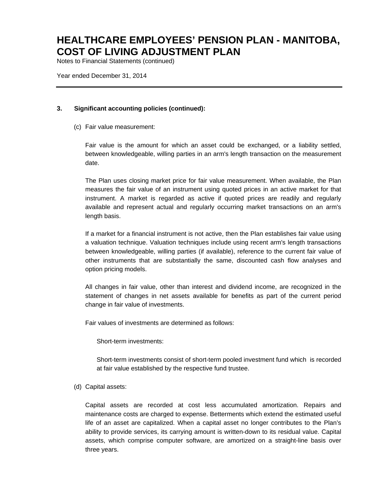Notes to Financial Statements (continued)

Year ended December 31, 2014

#### **3. Significant accounting policies (continued):**

(c) Fair value measurement:

Fair value is the amount for which an asset could be exchanged, or a liability settled, between knowledgeable, willing parties in an arm's length transaction on the measurement date.

The Plan uses closing market price for fair value measurement. When available, the Plan measures the fair value of an instrument using quoted prices in an active market for that instrument. A market is regarded as active if quoted prices are readily and regularly available and represent actual and regularly occurring market transactions on an arm's length basis.

If a market for a financial instrument is not active, then the Plan establishes fair value using a valuation technique. Valuation techniques include using recent arm's length transactions between knowledgeable, willing parties (if available), reference to the current fair value of other instruments that are substantially the same, discounted cash flow analyses and option pricing models.

All changes in fair value, other than interest and dividend income, are recognized in the statement of changes in net assets available for benefits as part of the current period change in fair value of investments.

Fair values of investments are determined as follows:

Short-term investments:

Short-term investments consist of short-term pooled investment fund which is recorded at fair value established by the respective fund trustee.

(d) Capital assets:

Capital assets are recorded at cost less accumulated amortization. Repairs and maintenance costs are charged to expense. Betterments which extend the estimated useful life of an asset are capitalized. When a capital asset no longer contributes to the Plan's ability to provide services, its carrying amount is written-down to its residual value. Capital assets, which comprise computer software, are amortized on a straight-line basis over three years.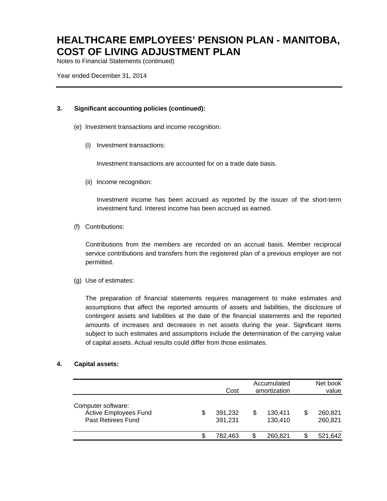Notes to Financial Statements (continued)

Year ended December 31, 2014

#### **3. Significant accounting policies (continued):**

- (e) Investment transactions and income recognition:
	- (i) Investment transactions:

Investment transactions are accounted for on a trade date basis.

(ii) Income recognition:

Investment income has been accrued as reported by the issuer of the short-term investment fund. Interest income has been accrued as earned.

(f) Contributions:

Contributions from the members are recorded on an accrual basis. Member reciprocal service contributions and transfers from the registered plan of a previous employer are not permitted.

(g) Use of estimates:

The preparation of financial statements requires management to make estimates and assumptions that affect the reported amounts of assets and liabilities, the disclosure of contingent assets and liabilities at the date of the financial statements and the reported amounts of increases and decreases in net assets during the year. Significant items subject to such estimates and assumptions include the determination of the carrying value of capital assets. Actual results could differ from those estimates.

#### **4. Capital assets:**

|                                                                          | Cost                     |   | Accumulated<br>amortization | Net book<br>value  |
|--------------------------------------------------------------------------|--------------------------|---|-----------------------------|--------------------|
| Computer software:<br><b>Active Employees Fund</b><br>Past Retirees Fund | \$<br>391,232<br>391,231 | S | 130,411<br>130,410          | 260,821<br>260,821 |
|                                                                          | 782.463                  | S | 260.821                     | 521,642            |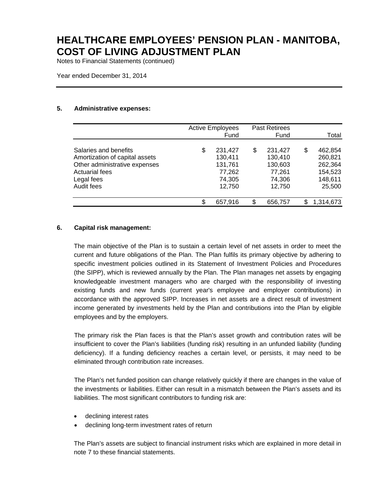Notes to Financial Statements (continued)

#### **5. Administrative expenses:**

|                                                                                                                                               | <b>Active Employees</b><br>Fund                                   | <b>Past Retirees</b><br>Fund                                      |   | Total                                                         |
|-----------------------------------------------------------------------------------------------------------------------------------------------|-------------------------------------------------------------------|-------------------------------------------------------------------|---|---------------------------------------------------------------|
| Salaries and benefits<br>Amortization of capital assets<br>Other administrative expenses<br><b>Actuarial fees</b><br>Legal fees<br>Audit fees | \$<br>231,427<br>130,411<br>131,761<br>77,262<br>74,305<br>12.750 | \$<br>231,427<br>130,410<br>130,603<br>77,261<br>74,306<br>12.750 | S | 462,854<br>260,821<br>262,364<br>154,523<br>148,611<br>25,500 |
|                                                                                                                                               | \$<br>657,916                                                     | \$<br>656,757                                                     | S | 1,314,673                                                     |

#### **6. Capital risk management:**

The main objective of the Plan is to sustain a certain level of net assets in order to meet the current and future obligations of the Plan. The Plan fulfils its primary objective by adhering to specific investment policies outlined in its Statement of Investment Policies and Procedures (the SIPP), which is reviewed annually by the Plan. The Plan manages net assets by engaging knowledgeable investment managers who are charged with the responsibility of investing existing funds and new funds (current year's employee and employer contributions) in accordance with the approved SIPP. Increases in net assets are a direct result of investment income generated by investments held by the Plan and contributions into the Plan by eligible employees and by the employers.

The primary risk the Plan faces is that the Plan's asset growth and contribution rates will be insufficient to cover the Plan's liabilities (funding risk) resulting in an unfunded liability (funding deficiency). If a funding deficiency reaches a certain level, or persists, it may need to be eliminated through contribution rate increases.

The Plan's net funded position can change relatively quickly if there are changes in the value of the investments or liabilities. Either can result in a mismatch between the Plan's assets and its liabilities. The most significant contributors to funding risk are:

- declining interest rates
- declining long-term investment rates of return

The Plan's assets are subject to financial instrument risks which are explained in more detail in note 7 to these financial statements.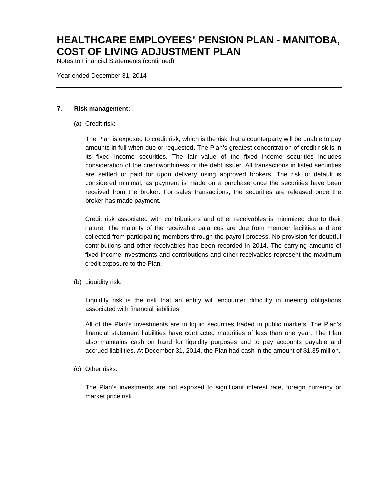Notes to Financial Statements (continued)

Year ended December 31, 2014

#### **7. Risk management:**

(a) Credit risk:

The Plan is exposed to credit risk, which is the risk that a counterparty will be unable to pay amounts in full when due or requested. The Plan's greatest concentration of credit risk is in its fixed income securities. The fair value of the fixed income securities includes consideration of the creditworthiness of the debt issuer. All transactions in listed securities are settled or paid for upon delivery using approved brokers. The risk of default is considered minimal, as payment is made on a purchase once the securities have been received from the broker. For sales transactions, the securities are released once the broker has made payment.

Credit risk associated with contributions and other receivables is minimized due to their nature. The majority of the receivable balances are due from member facilities and are collected from participating members through the payroll process. No provision for doubtful contributions and other receivables has been recorded in 2014. The carrying amounts of fixed income investments and contributions and other receivables represent the maximum credit exposure to the Plan.

(b) Liquidity risk:

Liquidity risk is the risk that an entity will encounter difficulty in meeting obligations associated with financial liabilities.

All of the Plan's investments are in liquid securities traded in public markets. The Plan's financial statement liabilities have contracted maturities of less than one year. The Plan also maintains cash on hand for liquidity purposes and to pay accounts payable and accrued liabilities. At December 31, 2014, the Plan had cash in the amount of \$1.35 million.

(c) Other risks:

The Plan's investments are not exposed to significant interest rate, foreign currency or market price risk.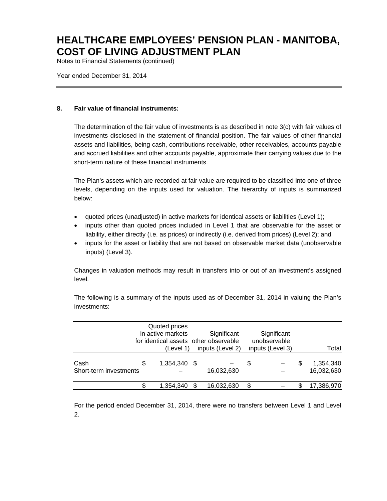Notes to Financial Statements (continued)

Year ended December 31, 2014

#### **8. Fair value of financial instruments:**

The determination of the fair value of investments is as described in note 3(c) with fair values of investments disclosed in the statement of financial position. The fair values of other financial assets and liabilities, being cash, contributions receivable, other receivables, accounts payable and accrued liabilities and other accounts payable, approximate their carrying values due to the short-term nature of these financial instruments.

The Plan's assets which are recorded at fair value are required to be classified into one of three levels, depending on the inputs used for valuation. The hierarchy of inputs is summarized below:

- quoted prices (unadjusted) in active markets for identical assets or liabilities (Level 1);
- inputs other than quoted prices included in Level 1 that are observable for the asset or liability, either directly (i.e. as prices) or indirectly (i.e. derived from prices) (Level 2); and
- inputs for the asset or liability that are not based on observable market data (unobservable inputs) (Level 3).

Changes in valuation methods may result in transfers into or out of an investment's assigned level.

The following is a summary of the inputs used as of December 31, 2014 in valuing the Plan's investments:

|                                |   | Quoted prices<br>in active markets<br>(Level 1) | Significant<br>for identical assets other observable<br>inputs (Level 2) |    | Significant<br>unobservable<br>inputs (Level 3) |     | Total                   |
|--------------------------------|---|-------------------------------------------------|--------------------------------------------------------------------------|----|-------------------------------------------------|-----|-------------------------|
| Cash<br>Short-term investments | S | 1,354,340 \$                                    | 16,032,630                                                               | S  |                                                 | \$. | 1,354,340<br>16,032,630 |
|                                |   | 1,354,340                                       | 16,032,630                                                               | \$ |                                                 |     | 17,386,970              |

For the period ended December 31, 2014, there were no transfers between Level 1 and Level 2.